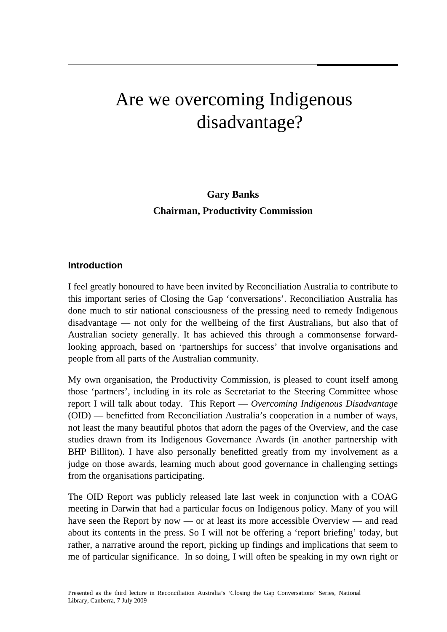# Are we overcoming Indigenous disadvantage?

**Gary Banks Chairman, Productivity Commission** 

#### **Introduction**

I feel greatly honoured to have been invited by Reconciliation Australia to contribute to this important series of Closing the Gap 'conversations'. Reconciliation Australia has done much to stir national consciousness of the pressing need to remedy Indigenous disadvantage — not only for the wellbeing of the first Australians, but also that of Australian society generally. It has achieved this through a commonsense forwardlooking approach, based on 'partnerships for success' that involve organisations and people from all parts of the Australian community.

My own organisation, the Productivity Commission, is pleased to count itself among those 'partners', including in its role as Secretariat to the Steering Committee whose report I will talk about today. This Report — *Overcoming Indigenous Disadvantage* (OID) — benefitted from Reconciliation Australia's cooperation in a number of ways, not least the many beautiful photos that adorn the pages of the Overview, and the case studies drawn from its Indigenous Governance Awards (in another partnership with BHP Billiton). I have also personally benefitted greatly from my involvement as a judge on those awards, learning much about good governance in challenging settings from the organisations participating.

The OID Report was publicly released late last week in conjunction with a COAG meeting in Darwin that had a particular focus on Indigenous policy. Many of you will have seen the Report by now — or at least its more accessible Overview — and read about its contents in the press. So I will not be offering a 'report briefing' today, but rather, a narrative around the report, picking up findings and implications that seem to me of particular significance. In so doing, I will often be speaking in my own right or

Presented as the third lecture in Reconciliation Australia's 'Closing the Gap Conversations' Series, National Library, Canberra, 7 July 2009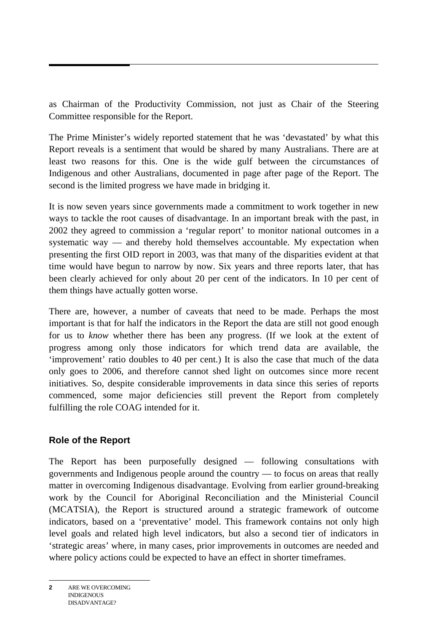as Chairman of the Productivity Commission, not just as Chair of the Steering Committee responsible for the Report.

The Prime Minister's widely reported statement that he was 'devastated' by what this Report reveals is a sentiment that would be shared by many Australians. There are at least two reasons for this. One is the wide gulf between the circumstances of Indigenous and other Australians, documented in page after page of the Report. The second is the limited progress we have made in bridging it.

It is now seven years since governments made a commitment to work together in new ways to tackle the root causes of disadvantage. In an important break with the past, in 2002 they agreed to commission a 'regular report' to monitor national outcomes in a systematic way — and thereby hold themselves accountable. My expectation when presenting the first OID report in 2003, was that many of the disparities evident at that time would have begun to narrow by now. Six years and three reports later, that has been clearly achieved for only about 20 per cent of the indicators. In 10 per cent of them things have actually gotten worse.

There are, however, a number of caveats that need to be made. Perhaps the most important is that for half the indicators in the Report the data are still not good enough for us to *know* whether there has been any progress. (If we look at the extent of progress among only those indicators for which trend data are available, the 'improvement' ratio doubles to 40 per cent.) It is also the case that much of the data only goes to 2006, and therefore cannot shed light on outcomes since more recent initiatives. So, despite considerable improvements in data since this series of reports commenced, some major deficiencies still prevent the Report from completely fulfilling the role COAG intended for it.

## **Role of the Report**

The Report has been purposefully designed — following consultations with governments and Indigenous people around the country — to focus on areas that really matter in overcoming Indigenous disadvantage. Evolving from earlier ground-breaking work by the Council for Aboriginal Reconciliation and the Ministerial Council (MCATSIA), the Report is structured around a strategic framework of outcome indicators, based on a 'preventative' model. This framework contains not only high level goals and related high level indicators, but also a second tier of indicators in 'strategic areas' where, in many cases, prior improvements in outcomes are needed and where policy actions could be expected to have an effect in shorter timeframes.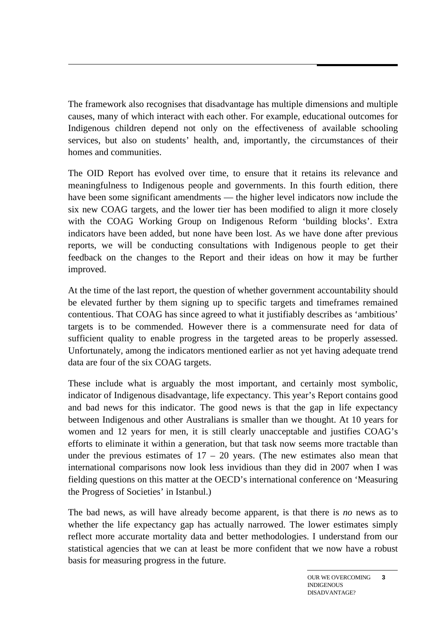The framework also recognises that disadvantage has multiple dimensions and multiple causes, many of which interact with each other. For example, educational outcomes for Indigenous children depend not only on the effectiveness of available schooling services, but also on students' health, and, importantly, the circumstances of their homes and communities.

The OID Report has evolved over time, to ensure that it retains its relevance and meaningfulness to Indigenous people and governments. In this fourth edition, there have been some significant amendments — the higher level indicators now include the six new COAG targets, and the lower tier has been modified to align it more closely with the COAG Working Group on Indigenous Reform 'building blocks'. Extra indicators have been added, but none have been lost. As we have done after previous reports, we will be conducting consultations with Indigenous people to get their feedback on the changes to the Report and their ideas on how it may be further improved.

At the time of the last report, the question of whether government accountability should be elevated further by them signing up to specific targets and timeframes remained contentious. That COAG has since agreed to what it justifiably describes as 'ambitious' targets is to be commended. However there is a commensurate need for data of sufficient quality to enable progress in the targeted areas to be properly assessed. Unfortunately, among the indicators mentioned earlier as not yet having adequate trend data are four of the six COAG targets.

These include what is arguably the most important, and certainly most symbolic, indicator of Indigenous disadvantage, life expectancy. This year's Report contains good and bad news for this indicator. The good news is that the gap in life expectancy between Indigenous and other Australians is smaller than we thought. At 10 years for women and 12 years for men, it is still clearly unacceptable and justifies COAG's efforts to eliminate it within a generation, but that task now seems more tractable than under the previous estimates of  $17 - 20$  years. (The new estimates also mean that international comparisons now look less invidious than they did in 2007 when I was fielding questions on this matter at the OECD's international conference on 'Measuring the Progress of Societies' in Istanbul.)

The bad news, as will have already become apparent, is that there is *no* news as to whether the life expectancy gap has actually narrowed. The lower estimates simply reflect more accurate mortality data and better methodologies. I understand from our statistical agencies that we can at least be more confident that we now have a robust basis for measuring progress in the future.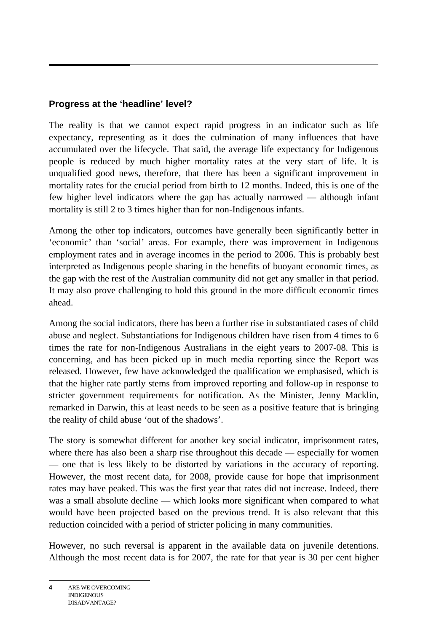# **Progress at the 'headline' level?**

The reality is that we cannot expect rapid progress in an indicator such as life expectancy, representing as it does the culmination of many influences that have accumulated over the lifecycle. That said, the average life expectancy for Indigenous people is reduced by much higher mortality rates at the very start of life. It is unqualified good news, therefore, that there has been a significant improvement in mortality rates for the crucial period from birth to 12 months. Indeed, this is one of the few higher level indicators where the gap has actually narrowed — although infant mortality is still 2 to 3 times higher than for non-Indigenous infants.

Among the other top indicators, outcomes have generally been significantly better in 'economic' than 'social' areas. For example, there was improvement in Indigenous employment rates and in average incomes in the period to 2006. This is probably best interpreted as Indigenous people sharing in the benefits of buoyant economic times, as the gap with the rest of the Australian community did not get any smaller in that period. It may also prove challenging to hold this ground in the more difficult economic times ahead.

Among the social indicators, there has been a further rise in substantiated cases of child abuse and neglect. Substantiations for Indigenous children have risen from 4 times to 6 times the rate for non-Indigenous Australians in the eight years to 2007-08. This is concerning, and has been picked up in much media reporting since the Report was released. However, few have acknowledged the qualification we emphasised, which is that the higher rate partly stems from improved reporting and follow-up in response to stricter government requirements for notification. As the Minister, Jenny Macklin, remarked in Darwin, this at least needs to be seen as a positive feature that is bringing the reality of child abuse 'out of the shadows'.

The story is somewhat different for another key social indicator, imprisonment rates, where there has also been a sharp rise throughout this decade — especially for women — one that is less likely to be distorted by variations in the accuracy of reporting. However, the most recent data, for 2008, provide cause for hope that imprisonment rates may have peaked. This was the first year that rates did not increase. Indeed, there was a small absolute decline — which looks more significant when compared to what would have been projected based on the previous trend. It is also relevant that this reduction coincided with a period of stricter policing in many communities.

However, no such reversal is apparent in the available data on juvenile detentions. Although the most recent data is for 2007, the rate for that year is 30 per cent higher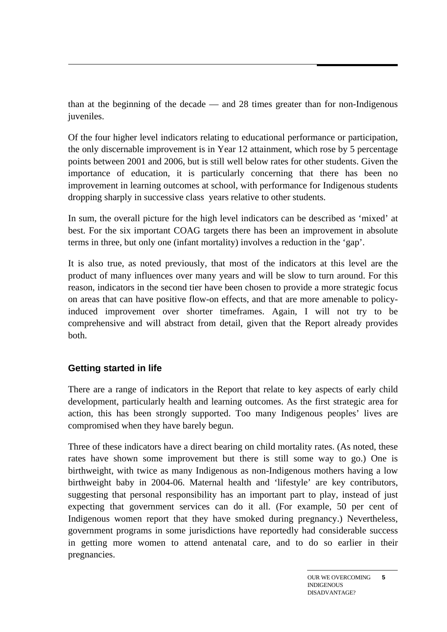than at the beginning of the decade — and 28 times greater than for non-Indigenous juveniles.

Of the four higher level indicators relating to educational performance or participation, the only discernable improvement is in Year 12 attainment, which rose by 5 percentage points between 2001 and 2006, but is still well below rates for other students. Given the importance of education, it is particularly concerning that there has been no improvement in learning outcomes at school, with performance for Indigenous students dropping sharply in successive class years relative to other students.

In sum, the overall picture for the high level indicators can be described as 'mixed' at best. For the six important COAG targets there has been an improvement in absolute terms in three, but only one (infant mortality) involves a reduction in the 'gap'.

It is also true, as noted previously, that most of the indicators at this level are the product of many influences over many years and will be slow to turn around. For this reason, indicators in the second tier have been chosen to provide a more strategic focus on areas that can have positive flow-on effects, and that are more amenable to policyinduced improvement over shorter timeframes. Again, I will not try to be comprehensive and will abstract from detail, given that the Report already provides both.

## **Getting started in life**

There are a range of indicators in the Report that relate to key aspects of early child development, particularly health and learning outcomes. As the first strategic area for action, this has been strongly supported. Too many Indigenous peoples' lives are compromised when they have barely begun.

Three of these indicators have a direct bearing on child mortality rates. (As noted, these rates have shown some improvement but there is still some way to go.) One is birthweight, with twice as many Indigenous as non-Indigenous mothers having a low birthweight baby in 2004-06. Maternal health and 'lifestyle' are key contributors, suggesting that personal responsibility has an important part to play, instead of just expecting that government services can do it all. (For example, 50 per cent of Indigenous women report that they have smoked during pregnancy.) Nevertheless, government programs in some jurisdictions have reportedly had considerable success in getting more women to attend antenatal care, and to do so earlier in their pregnancies.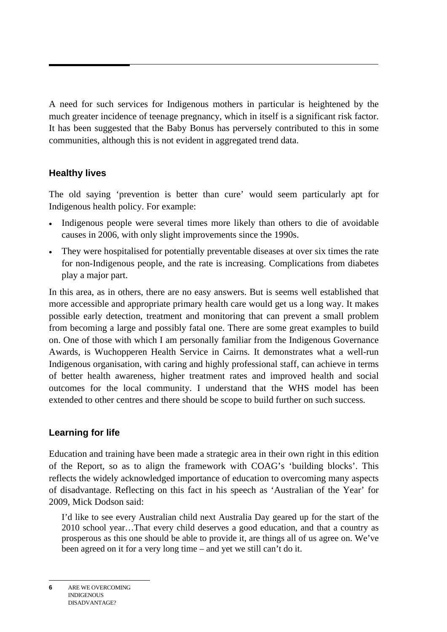A need for such services for Indigenous mothers in particular is heightened by the much greater incidence of teenage pregnancy, which in itself is a significant risk factor. It has been suggested that the Baby Bonus has perversely contributed to this in some communities, although this is not evident in aggregated trend data.

## **Healthy lives**

The old saying 'prevention is better than cure' would seem particularly apt for Indigenous health policy. For example:

- Indigenous people were several times more likely than others to die of avoidable causes in 2006, with only slight improvements since the 1990s.
- They were hospitalised for potentially preventable diseases at over six times the rate for non-Indigenous people, and the rate is increasing. Complications from diabetes play a major part.

In this area, as in others, there are no easy answers. But is seems well established that more accessible and appropriate primary health care would get us a long way. It makes possible early detection, treatment and monitoring that can prevent a small problem from becoming a large and possibly fatal one. There are some great examples to build on. One of those with which I am personally familiar from the Indigenous Governance Awards, is Wuchopperen Health Service in Cairns. It demonstrates what a well-run Indigenous organisation, with caring and highly professional staff, can achieve in terms of better health awareness, higher treatment rates and improved health and social outcomes for the local community. I understand that the WHS model has been extended to other centres and there should be scope to build further on such success.

## **Learning for life**

Education and training have been made a strategic area in their own right in this edition of the Report, so as to align the framework with COAG's 'building blocks'. This reflects the widely acknowledged importance of education to overcoming many aspects of disadvantage. Reflecting on this fact in his speech as 'Australian of the Year' for 2009, Mick Dodson said:

I'd like to see every Australian child next Australia Day geared up for the start of the 2010 school year…That every child deserves a good education, and that a country as prosperous as this one should be able to provide it, are things all of us agree on. We've been agreed on it for a very long time – and yet we still can't do it.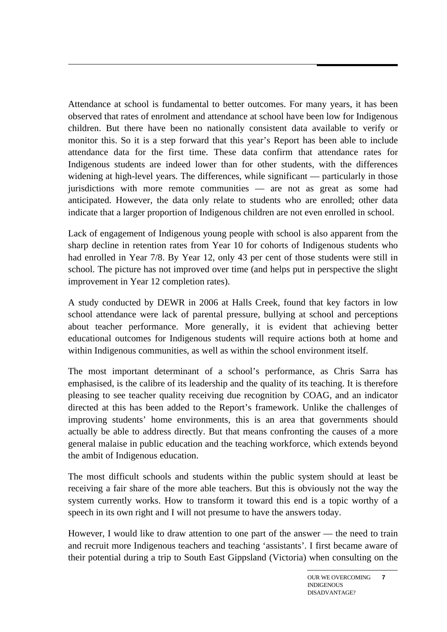Attendance at school is fundamental to better outcomes. For many years, it has been observed that rates of enrolment and attendance at school have been low for Indigenous children. But there have been no nationally consistent data available to verify or monitor this. So it is a step forward that this year's Report has been able to include attendance data for the first time. These data confirm that attendance rates for Indigenous students are indeed lower than for other students, with the differences widening at high-level years. The differences, while significant — particularly in those jurisdictions with more remote communities — are not as great as some had anticipated. However, the data only relate to students who are enrolled; other data indicate that a larger proportion of Indigenous children are not even enrolled in school.

Lack of engagement of Indigenous young people with school is also apparent from the sharp decline in retention rates from Year 10 for cohorts of Indigenous students who had enrolled in Year 7/8. By Year 12, only 43 per cent of those students were still in school. The picture has not improved over time (and helps put in perspective the slight improvement in Year 12 completion rates).

A study conducted by DEWR in 2006 at Halls Creek, found that key factors in low school attendance were lack of parental pressure, bullying at school and perceptions about teacher performance. More generally, it is evident that achieving better educational outcomes for Indigenous students will require actions both at home and within Indigenous communities, as well as within the school environment itself.

The most important determinant of a school's performance, as Chris Sarra has emphasised, is the calibre of its leadership and the quality of its teaching. It is therefore pleasing to see teacher quality receiving due recognition by COAG, and an indicator directed at this has been added to the Report's framework. Unlike the challenges of improving students' home environments, this is an area that governments should actually be able to address directly. But that means confronting the causes of a more general malaise in public education and the teaching workforce, which extends beyond the ambit of Indigenous education.

The most difficult schools and students within the public system should at least be receiving a fair share of the more able teachers. But this is obviously not the way the system currently works. How to transform it toward this end is a topic worthy of a speech in its own right and I will not presume to have the answers today.

However, I would like to draw attention to one part of the answer — the need to train and recruit more Indigenous teachers and teaching 'assistants'. I first became aware of their potential during a trip to South East Gippsland (Victoria) when consulting on the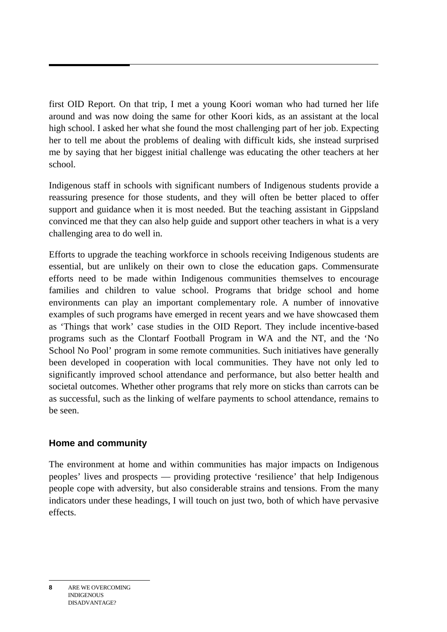first OID Report. On that trip, I met a young Koori woman who had turned her life around and was now doing the same for other Koori kids, as an assistant at the local high school. I asked her what she found the most challenging part of her job. Expecting her to tell me about the problems of dealing with difficult kids, she instead surprised me by saying that her biggest initial challenge was educating the other teachers at her school.

Indigenous staff in schools with significant numbers of Indigenous students provide a reassuring presence for those students, and they will often be better placed to offer support and guidance when it is most needed. But the teaching assistant in Gippsland convinced me that they can also help guide and support other teachers in what is a very challenging area to do well in.

Efforts to upgrade the teaching workforce in schools receiving Indigenous students are essential, but are unlikely on their own to close the education gaps. Commensurate efforts need to be made within Indigenous communities themselves to encourage families and children to value school. Programs that bridge school and home environments can play an important complementary role. A number of innovative examples of such programs have emerged in recent years and we have showcased them as 'Things that work' case studies in the OID Report. They include incentive-based programs such as the Clontarf Football Program in WA and the NT, and the 'No School No Pool' program in some remote communities. Such initiatives have generally been developed in cooperation with local communities. They have not only led to significantly improved school attendance and performance, but also better health and societal outcomes. Whether other programs that rely more on sticks than carrots can be as successful, such as the linking of welfare payments to school attendance, remains to be seen.

## **Home and community**

The environment at home and within communities has major impacts on Indigenous peoples' lives and prospects — providing protective 'resilience' that help Indigenous people cope with adversity, but also considerable strains and tensions. From the many indicators under these headings, I will touch on just two, both of which have pervasive effects.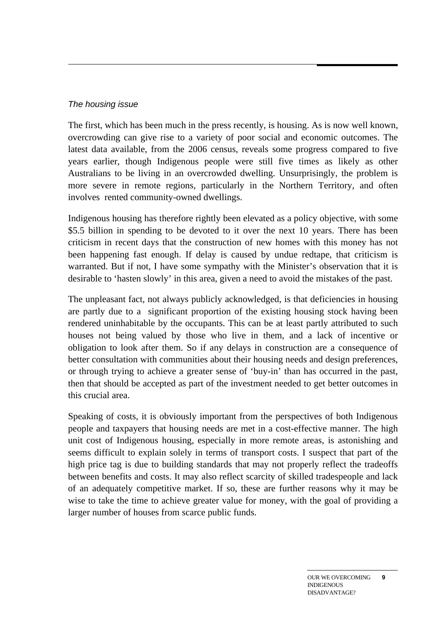#### *The housing issue*

The first, which has been much in the press recently, is housing. As is now well known, overcrowding can give rise to a variety of poor social and economic outcomes. The latest data available, from the 2006 census, reveals some progress compared to five years earlier, though Indigenous people were still five times as likely as other Australians to be living in an overcrowded dwelling. Unsurprisingly, the problem is more severe in remote regions, particularly in the Northern Territory, and often involves rented community-owned dwellings.

Indigenous housing has therefore rightly been elevated as a policy objective, with some \$5.5 billion in spending to be devoted to it over the next 10 years. There has been criticism in recent days that the construction of new homes with this money has not been happening fast enough. If delay is caused by undue redtape, that criticism is warranted. But if not, I have some sympathy with the Minister's observation that it is desirable to 'hasten slowly' in this area, given a need to avoid the mistakes of the past.

The unpleasant fact, not always publicly acknowledged, is that deficiencies in housing are partly due to a significant proportion of the existing housing stock having been rendered uninhabitable by the occupants. This can be at least partly attributed to such houses not being valued by those who live in them, and a lack of incentive or obligation to look after them. So if any delays in construction are a consequence of better consultation with communities about their housing needs and design preferences, or through trying to achieve a greater sense of 'buy-in' than has occurred in the past, then that should be accepted as part of the investment needed to get better outcomes in this crucial area.

Speaking of costs, it is obviously important from the perspectives of both Indigenous people and taxpayers that housing needs are met in a cost-effective manner. The high unit cost of Indigenous housing, especially in more remote areas, is astonishing and seems difficult to explain solely in terms of transport costs. I suspect that part of the high price tag is due to building standards that may not properly reflect the tradeoffs between benefits and costs. It may also reflect scarcity of skilled tradespeople and lack of an adequately competitive market. If so, these are further reasons why it may be wise to take the time to achieve greater value for money, with the goal of providing a larger number of houses from scarce public funds.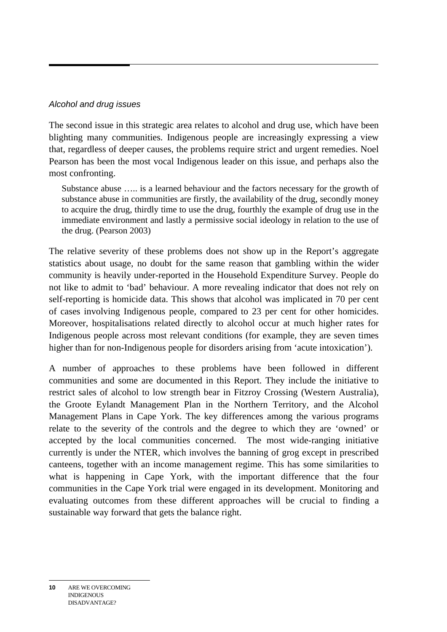#### *Alcohol and drug issues*

The second issue in this strategic area relates to alcohol and drug use, which have been blighting many communities. Indigenous people are increasingly expressing a view that, regardless of deeper causes, the problems require strict and urgent remedies. Noel Pearson has been the most vocal Indigenous leader on this issue, and perhaps also the most confronting.

Substance abuse ….. is a learned behaviour and the factors necessary for the growth of substance abuse in communities are firstly, the availability of the drug, secondly money to acquire the drug, thirdly time to use the drug, fourthly the example of drug use in the immediate environment and lastly a permissive social ideology in relation to the use of the drug. (Pearson 2003)

The relative severity of these problems does not show up in the Report's aggregate statistics about usage, no doubt for the same reason that gambling within the wider community is heavily under-reported in the Household Expenditure Survey. People do not like to admit to 'bad' behaviour. A more revealing indicator that does not rely on self-reporting is homicide data. This shows that alcohol was implicated in 70 per cent of cases involving Indigenous people, compared to 23 per cent for other homicides. Moreover, hospitalisations related directly to alcohol occur at much higher rates for Indigenous people across most relevant conditions (for example, they are seven times higher than for non-Indigenous people for disorders arising from 'acute intoxication').

A number of approaches to these problems have been followed in different communities and some are documented in this Report. They include the initiative to restrict sales of alcohol to low strength bear in Fitzroy Crossing (Western Australia), the Groote Eylandt Management Plan in the Northern Territory, and the Alcohol Management Plans in Cape York. The key differences among the various programs relate to the severity of the controls and the degree to which they are 'owned' or accepted by the local communities concerned. The most wide-ranging initiative currently is under the NTER, which involves the banning of grog except in prescribed canteens, together with an income management regime. This has some similarities to what is happening in Cape York, with the important difference that the four communities in the Cape York trial were engaged in its development. Monitoring and evaluating outcomes from these different approaches will be crucial to finding a sustainable way forward that gets the balance right.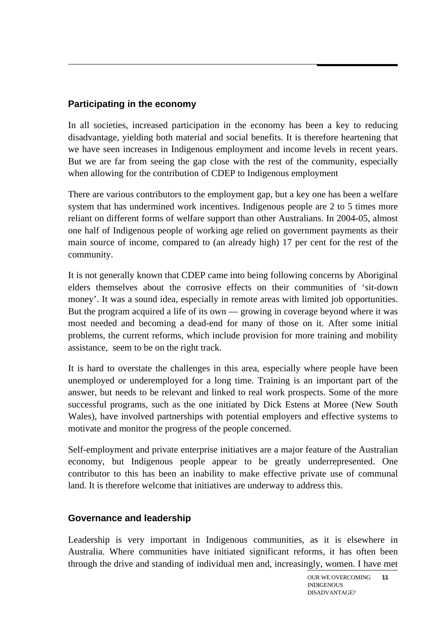## **Participating in the economy**

In all societies, increased participation in the economy has been a key to reducing disadvantage, yielding both material and social benefits. It is therefore heartening that we have seen increases in Indigenous employment and income levels in recent years. But we are far from seeing the gap close with the rest of the community, especially when allowing for the contribution of CDEP to Indigenous employment

There are various contributors to the employment gap, but a key one has been a welfare system that has undermined work incentives. Indigenous people are 2 to 5 times more reliant on different forms of welfare support than other Australians. In 2004-05, almost one half of Indigenous people of working age relied on government payments as their main source of income, compared to (an already high) 17 per cent for the rest of the community.

It is not generally known that CDEP came into being following concerns by Aboriginal elders themselves about the corrosive effects on their communities of 'sit-down money'. It was a sound idea, especially in remote areas with limited job opportunities. But the program acquired a life of its own — growing in coverage beyond where it was most needed and becoming a dead-end for many of those on it. After some initial problems, the current reforms, which include provision for more training and mobility assistance, seem to be on the right track.

It is hard to overstate the challenges in this area, especially where people have been unemployed or underemployed for a long time. Training is an important part of the answer, but needs to be relevant and linked to real work prospects. Some of the more successful programs, such as the one initiated by Dick Estens at Moree (New South Wales), have involved partnerships with potential employers and effective systems to motivate and monitor the progress of the people concerned.

Self-employment and private enterprise initiatives are a major feature of the Australian economy, but Indigenous people appear to be greatly underrepresented. One contributor to this has been an inability to make effective private use of communal land. It is therefore welcome that initiatives are underway to address this.

#### **Governance and leadership**

Leadership is very important in Indigenous communities, as it is elsewhere in Australia. Where communities have initiated significant reforms, it has often been through the drive and standing of individual men and, increasingly, women. I have met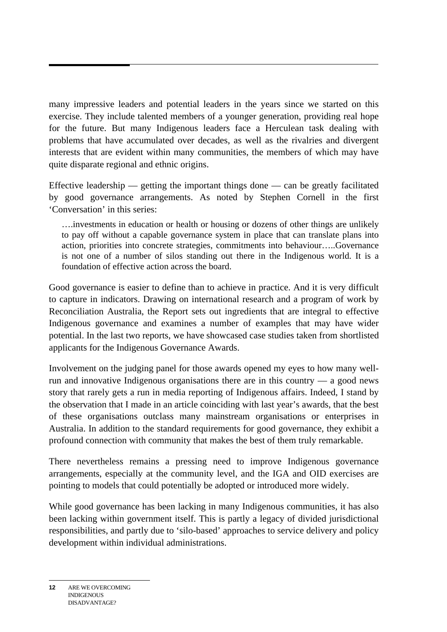many impressive leaders and potential leaders in the years since we started on this exercise. They include talented members of a younger generation, providing real hope for the future. But many Indigenous leaders face a Herculean task dealing with problems that have accumulated over decades, as well as the rivalries and divergent interests that are evident within many communities, the members of which may have quite disparate regional and ethnic origins.

Effective leadership  $-$  getting the important things done  $-$  can be greatly facilitated by good governance arrangements. As noted by Stephen Cornell in the first 'Conversation' in this series:

….investments in education or health or housing or dozens of other things are unlikely to pay off without a capable governance system in place that can translate plans into action, priorities into concrete strategies, commitments into behaviour…..Governance is not one of a number of silos standing out there in the Indigenous world. It is a foundation of effective action across the board.

Good governance is easier to define than to achieve in practice. And it is very difficult to capture in indicators. Drawing on international research and a program of work by Reconciliation Australia, the Report sets out ingredients that are integral to effective Indigenous governance and examines a number of examples that may have wider potential. In the last two reports, we have showcased case studies taken from shortlisted applicants for the Indigenous Governance Awards.

Involvement on the judging panel for those awards opened my eyes to how many wellrun and innovative Indigenous organisations there are in this country — a good news story that rarely gets a run in media reporting of Indigenous affairs. Indeed, I stand by the observation that I made in an article coinciding with last year's awards, that the best of these organisations outclass many mainstream organisations or enterprises in Australia. In addition to the standard requirements for good governance, they exhibit a profound connection with community that makes the best of them truly remarkable.

There nevertheless remains a pressing need to improve Indigenous governance arrangements, especially at the community level, and the IGA and OID exercises are pointing to models that could potentially be adopted or introduced more widely.

While good governance has been lacking in many Indigenous communities, it has also been lacking within government itself. This is partly a legacy of divided jurisdictional responsibilities, and partly due to 'silo-based' approaches to service delivery and policy development within individual administrations.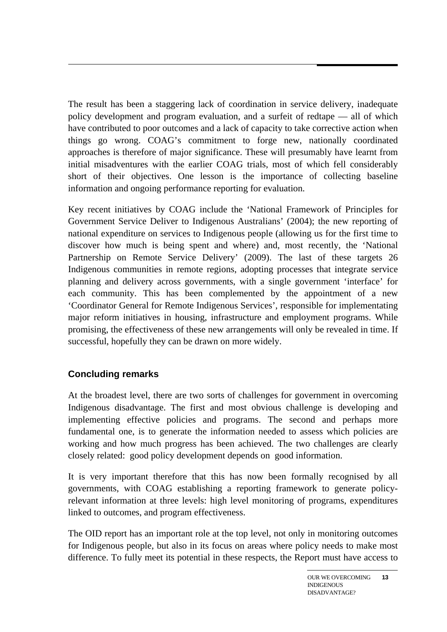The result has been a staggering lack of coordination in service delivery, inadequate policy development and program evaluation, and a surfeit of redtape — all of which have contributed to poor outcomes and a lack of capacity to take corrective action when things go wrong. COAG's commitment to forge new, nationally coordinated approaches is therefore of major significance. These will presumably have learnt from initial misadventures with the earlier COAG trials, most of which fell considerably short of their objectives. One lesson is the importance of collecting baseline information and ongoing performance reporting for evaluation.

Key recent initiatives by COAG include the 'National Framework of Principles for Government Service Deliver to Indigenous Australians' (2004); the new reporting of national expenditure on services to Indigenous people (allowing us for the first time to discover how much is being spent and where) and, most recently, the 'National Partnership on Remote Service Delivery' (2009). The last of these targets 26 Indigenous communities in remote regions, adopting processes that integrate service planning and delivery across governments, with a single government 'interface' for each community. This has been complemented by the appointment of a new 'Coordinator General for Remote Indigenous Services', responsible for implementating major reform initiatives in housing, infrastructure and employment programs. While promising, the effectiveness of these new arrangements will only be revealed in time. If successful, hopefully they can be drawn on more widely.

## **Concluding remarks**

At the broadest level, there are two sorts of challenges for government in overcoming Indigenous disadvantage. The first and most obvious challenge is developing and implementing effective policies and programs. The second and perhaps more fundamental one, is to generate the information needed to assess which policies are working and how much progress has been achieved. The two challenges are clearly closely related: good policy development depends on good information.

It is very important therefore that this has now been formally recognised by all governments, with COAG establishing a reporting framework to generate policyrelevant information at three levels: high level monitoring of programs, expenditures linked to outcomes, and program effectiveness.

The OID report has an important role at the top level, not only in monitoring outcomes for Indigenous people, but also in its focus on areas where policy needs to make most difference. To fully meet its potential in these respects, the Report must have access to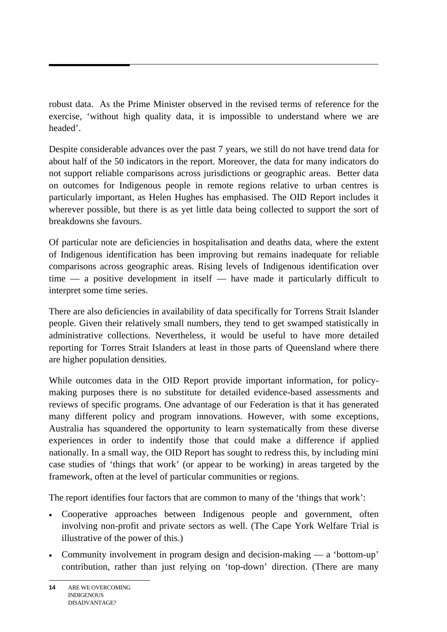robust data. As the Prime Minister observed in the revised terms of reference for the exercise, 'without high quality data, it is impossible to understand where we are headed'.

Despite considerable advances over the past 7 years, we still do not have trend data for about half of the 50 indicators in the report. Moreover, the data for many indicators do not support reliable comparisons across jurisdictions or geographic areas. Better data on outcomes for Indigenous people in remote regions relative to urban centres is particularly important, as Helen Hughes has emphasised. The OID Report includes it wherever possible, but there is as yet little data being collected to support the sort of breakdowns she favours.

Of particular note are deficiencies in hospitalisation and deaths data, where the extent of Indigenous identification has been improving but remains inadequate for reliable comparisons across geographic areas. Rising levels of Indigenous identification over time — a positive development in itself — have made it particularly difficult to interpret some time series.

There are also deficiencies in availability of data specifically for Torrens Strait Islander people. Given their relatively small numbers, they tend to get swamped statistically in administrative collections. Nevertheless, it would be useful to have more detailed reporting for Torres Strait Islanders at least in those parts of Queensland where there are higher population densities.

While outcomes data in the OID Report provide important information, for policymaking purposes there is no substitute for detailed evidence-based assessments and reviews of specific programs. One advantage of our Federation is that it has generated many different policy and program innovations. However, with some exceptions, Australia has squandered the opportunity to learn systematically from these diverse experiences in order to indentify those that could make a difference if applied nationally. In a small way, the OID Report has sought to redress this, by including mini case studies of 'things that work' (or appear to be working) in areas targeted by the framework, often at the level of particular communities or regions.

The report identifies four factors that are common to many of the 'things that work':

- Cooperative approaches between Indigenous people and government, often involving non-profit and private sectors as well. (The Cape York Welfare Trial is illustrative of the power of this.)
- Community involvement in program design and decision-making a 'bottom-up' contribution, rather than just relying on 'top-down' direction. (There are many